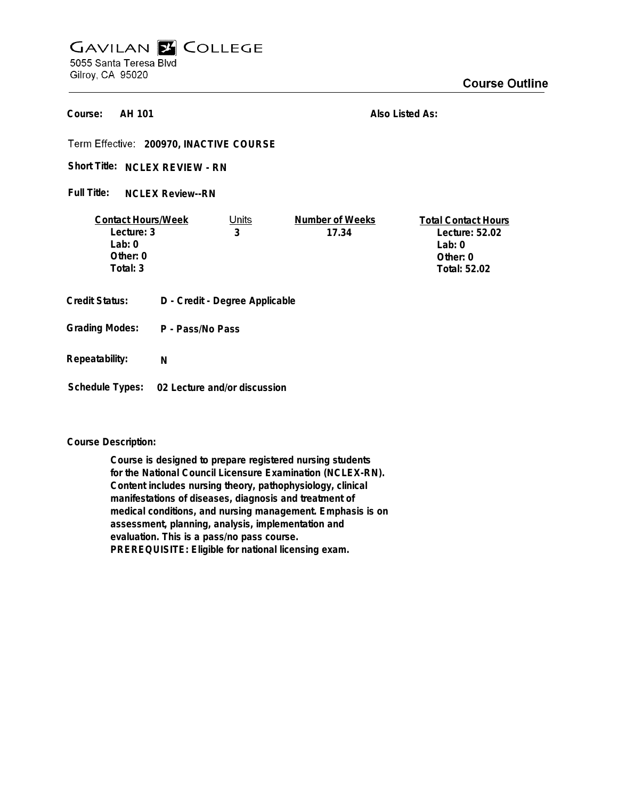## **GAVILAN E COLLEGE** 5055 Santa Teresa Blvd Gilroy, CA 95020

**AH 101 Course:**

**Also Listed As:**

**200970, INACTIVE COURSE**

Short Title: NCLEX REVIEW - RN

**NCLEX Review--RN Full Title:**

| <b>Contact Hours/Week</b> |                  | Units                          | Number of Weeks | <b>Total Contact Hours</b> |
|---------------------------|------------------|--------------------------------|-----------------|----------------------------|
| Lecture: 3                |                  | 3                              | 17.34           | Lecture: 52.02             |
| Lab: $0$                  |                  |                                |                 | Lab: $0$                   |
| Other: $0$                |                  |                                |                 | Other: $0$                 |
| Total: 3                  |                  |                                |                 | Total: 52.02               |
| Credit Status:            |                  | D - Credit - Degree Applicable |                 |                            |
| <b>Grading Modes:</b>     | P - Pass/No Pass |                                |                 |                            |

**Repeatability: N**

**Schedule Types: 02 Lecture and/or discussion**

## **Course Description:**

**Course is designed to prepare registered nursing students for the National Council Licensure Examination (NCLEX-RN). Content includes nursing theory, pathophysiology, clinical manifestations of diseases, diagnosis and treatment of medical conditions, and nursing management. Emphasis is on assessment, planning, analysis, implementation and evaluation. This is a pass/no pass course. PREREQUISITE: Eligible for national licensing exam.**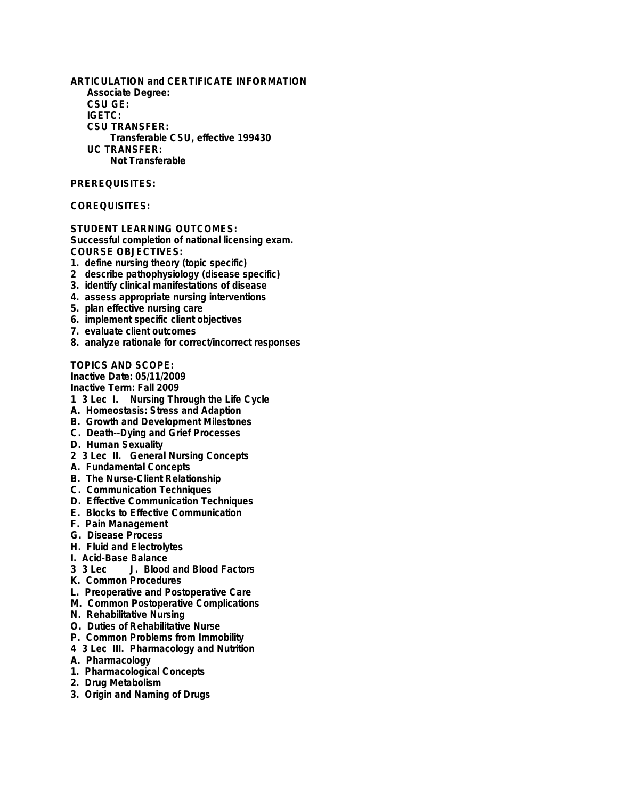**ARTICULATION and CERTIFICATE INFORMATION Associate Degree: CSU GE: IGETC: CSU TRANSFER: Transferable CSU, effective 199430 UC TRANSFER: Not Transferable**

## **PREREQUISITES:**

## **COREQUISITES:**

**STUDENT LEARNING OUTCOMES: Successful completion of national licensing exam. COURSE OBJECTIVES:**

- **1. define nursing theory (topic specific)**
- **2 describe pathophysiology (disease specific)**
- **3. identify clinical manifestations of disease**
- **4. assess appropriate nursing interventions**
- **5. plan effective nursing care**
- **6. implement specific client objectives**
- **7. evaluate client outcomes**
- **8. analyze rationale for correct/incorrect responses**

**TOPICS AND SCOPE:**

**Inactive Date: 05/11/2009 Inactive Term: Fall 2009**

- **1 3 Lec I. Nursing Through the Life Cycle**
- **A. Homeostasis: Stress and Adaption**
- **B. Growth and Development Milestones**
- **C. Death--Dying and Grief Processes**
- **D. Human Sexuality**
- **2 3 Lec II. General Nursing Concepts**
- **A. Fundamental Concepts**
- **B. The Nurse-Client Relationship**
- **C. Communication Techniques**
- **D. Effective Communication Techniques**
- **E. Blocks to Effective Communication**
- **F. Pain Management**
- **G. Disease Process**
- **H. Fluid and Electrolytes**
- **I. Acid-Base Balance**
- **J. Blood and Blood Factors**
- **K. Common Procedures**
- **L. Preoperative and Postoperative Care**
- **M. Common Postoperative Complications**
- **N. Rehabilitative Nursing**
- **O. Duties of Rehabilitative Nurse**
- **P. Common Problems from Immobility**
- **4 3 Lec III. Pharmacology and Nutrition**
- **A. Pharmacology**
- **1. Pharmacological Concepts**
- **2. Drug Metabolism**
- **3. Origin and Naming of Drugs**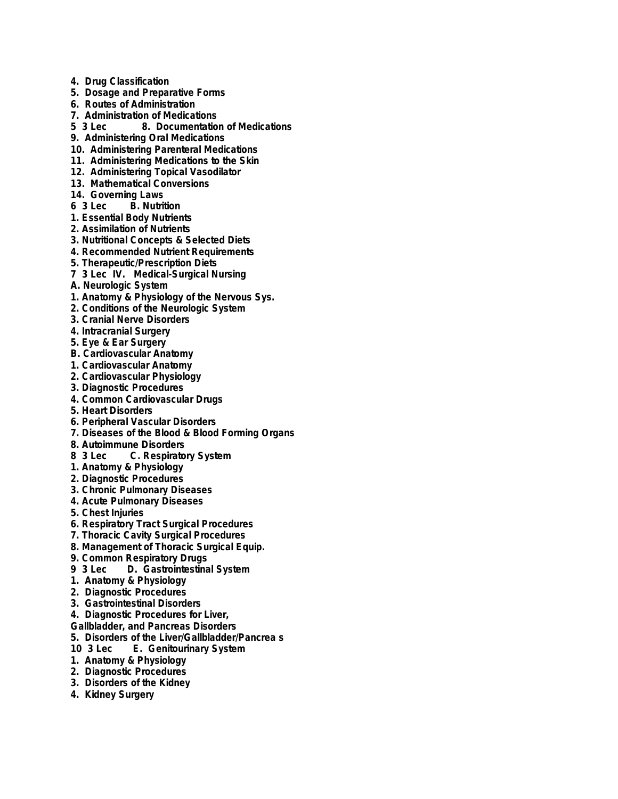- **4. Drug Classification**
- **5. Dosage and Preparative Forms**
- **6. Routes of Administration**
- **7. Administration of Medications**
- **5 3 Lec 8. Documentation of Medications**
- **9. Administering Oral Medications**
- **10. Administering Parenteral Medications**
- **11. Administering Medications to the Skin**
- **12. Administering Topical Vasodilator**
- **13. Mathematical Conversions**
- **14. Governing Laws**
- **B.** Nutrition
- **1. Essential Body Nutrients**
- **2. Assimilation of Nutrients**
- **3. Nutritional Concepts & Selected Diets**
- **4. Recommended Nutrient Requirements**
- **5. Therapeutic/Prescription Diets**
- **7 3 Lec IV. Medical-Surgical Nursing**
- **A. Neurologic System**
- **1. Anatomy & Physiology of the Nervous Sys.**
- **2. Conditions of the Neurologic System**
- **3. Cranial Nerve Disorders**
- **4. Intracranial Surgery**
- **5. Eye & Ear Surgery**
- **B. Cardiovascular Anatomy**
- **1. Cardiovascular Anatomy**
- **2. Cardiovascular Physiology**
- **3. Diagnostic Procedures**
- **4. Common Cardiovascular Drugs**
- **5. Heart Disorders**
- **6. Peripheral Vascular Disorders**
- **7. Diseases of the Blood & Blood Forming Organs**
- **8. Autoimmune Disorders**
- **6. Respiratory System**
- **1. Anatomy & Physiology**
- **2. Diagnostic Procedures**
- **3. Chronic Pulmonary Diseases**
- **4. Acute Pulmonary Diseases**
- **5. Chest Injuries**
- **6. Respiratory Tract Surgical Procedures**
- **7. Thoracic Cavity Surgical Procedures**
- **8. Management of Thoracic Surgical Equip.**
- **9. Common Respiratory Drugs**
- **9 3 Lec D. Gastrointestinal System**
- **1. Anatomy & Physiology**
- **2. Diagnostic Procedures**
- **3. Gastrointestinal Disorders**
- **4. Diagnostic Procedures for Liver,**
- **Gallbladder, and Pancreas Disorders**
- **5. Disorders of the Liver/Gallbladder/Pancrea s**
- **12. Genitourinary System**
- **1. Anatomy & Physiology**
- **2. Diagnostic Procedures**
- **3. Disorders of the Kidney**
- **4. Kidney Surgery**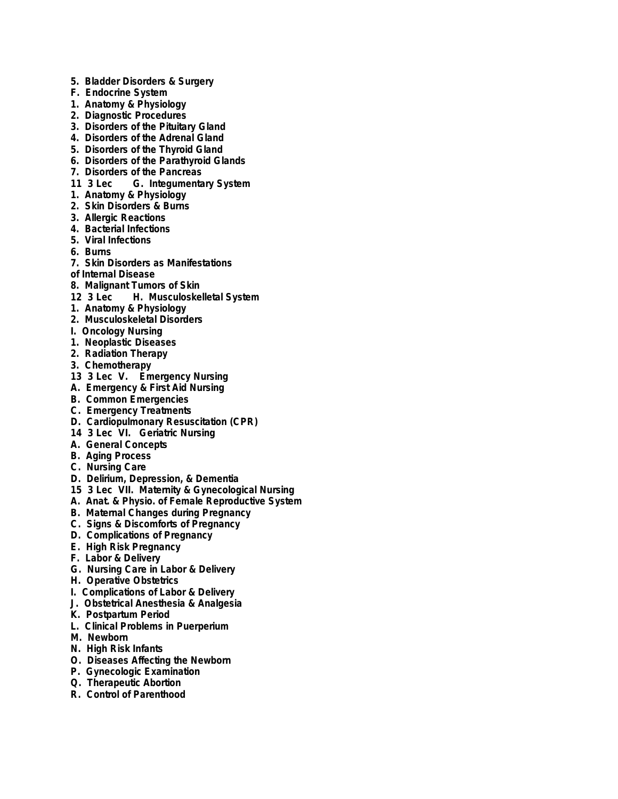- **5. Bladder Disorders & Surgery**
- **F. Endocrine System**
- **1. Anatomy & Physiology**
- **2. Diagnostic Procedures**
- **3. Disorders of the Pituitary Gland**
- **4. Disorders of the Adrenal Gland**
- **5. Disorders of the Thyroid Gland**
- **6. Disorders of the Parathyroid Glands**
- **7. Disorders of the Pancreas**
- **11 3 Lec G. Integumentary System**
- **1. Anatomy & Physiology**
- **2. Skin Disorders & Burns**
- **3. Allergic Reactions**
- **4. Bacterial Infections**
- **5. Viral Infections**
- **6. Burns**
- **7. Skin Disorders as Manifestations**
- **of Internal Disease**
- **8. Malignant Tumors of Skin**
- **12 3 Lec H. Musculoskelletal System**
- **1. Anatomy & Physiology**
- **2. Musculoskeletal Disorders**
- **I. Oncology Nursing**
- **1. Neoplastic Diseases**
- **2. Radiation Therapy**
- **3. Chemotherapy**
- **13 3 Lec V. Emergency Nursing**
- **A. Emergency & First Aid Nursing**
- **B. Common Emergencies**
- **C. Emergency Treatments**
- **D. Cardiopulmonary Resuscitation (CPR)**
- **14 3 Lec VI. Geriatric Nursing**
- **A. General Concepts**
- **B. Aging Process**
- **C. Nursing Care**
- **D. Delirium, Depression, & Dementia**
- **15 3 Lec VII. Maternity & Gynecological Nursing**
- **A. Anat. & Physio. of Female Reproductive System**
- **B. Maternal Changes during Pregnancy**
- **C. Signs & Discomforts of Pregnancy**
- **D. Complications of Pregnancy**
- **E. High Risk Pregnancy**
- **F. Labor & Delivery**
- **G. Nursing Care in Labor & Delivery**
- **H. Operative Obstetrics**
- **I. Complications of Labor & Delivery**
- **J. Obstetrical Anesthesia & Analgesia**
- **K. Postpartum Period**
- **L. Clinical Problems in Puerperium**
- **M. Newborn**
- **N. High Risk Infants**
- **O. Diseases Affecting the Newborn**
- **P. Gynecologic Examination**
- **Q. Therapeutic Abortion**
- **R. Control of Parenthood**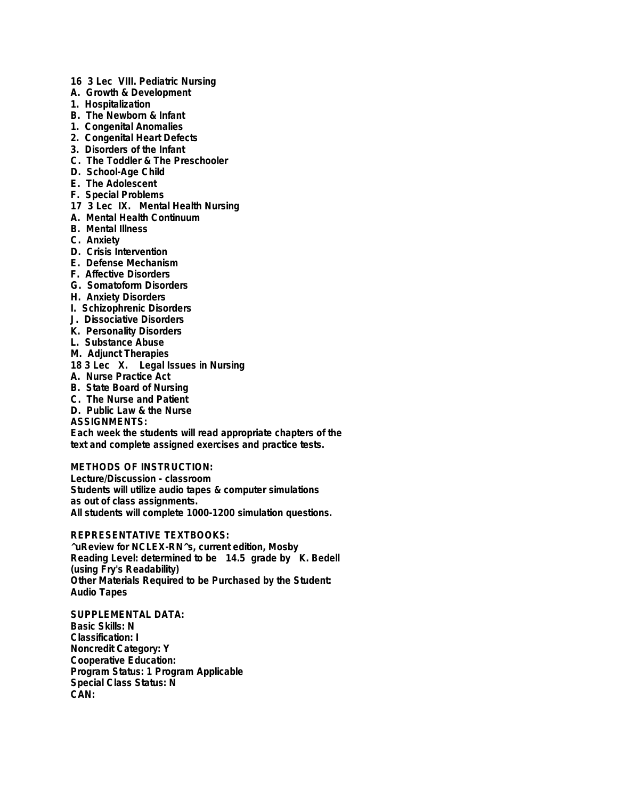- **16 3 Lec VIII. Pediatric Nursing**
- **A. Growth & Development**
- **1. Hospitalization**
- **B. The Newborn & Infant**
- **1. Congenital Anomalies**
- **2. Congenital Heart Defects**
- **3. Disorders of the Infant**
- **C. The Toddler & The Preschooler**
- **D. School-Age Child**
- **E. The Adolescent**
- **F. Special Problems**
- **17 3 Lec IX. Mental Health Nursing**
- **A. Mental Health Continuum**
- **B. Mental Illness**
- **C. Anxiety**
- **D. Crisis Intervention**
- **E. Defense Mechanism**
- **F. Affective Disorders**
- **G. Somatoform Disorders**
- **H. Anxiety Disorders**
- **I. Schizophrenic Disorders**
- **J. Dissociative Disorders**
- **K. Personality Disorders**
- **L. Substance Abuse**
- **M. Adjunct Therapies**
- **18 3 Lec X. Legal Issues in Nursing**
- **A. Nurse Practice Act**
- **B. State Board of Nursing**
- **C. The Nurse and Patient**
- **D. Public Law & the Nurse**

**ASSIGNMENTS:**

**Each week the students will read appropriate chapters of the text and complete assigned exercises and practice tests.**

**METHODS OF INSTRUCTION:**

**Lecture/Discussion - classroom Students will utilize audio tapes & computer simulations as out of class assignments. All students will complete 1000-1200 simulation questions.**

**REPRESENTATIVE TEXTBOOKS: ^uReview for NCLEX-RN^s, current edition, Mosby Reading Level: determined to be 14.5 grade by K. Bedell (using Fry's Readability) Other Materials Required to be Purchased by the Student: Audio Tapes**

**SUPPLEMENTAL DATA: Basic Skills: N Classification: I Noncredit Category: Y Cooperative Education: Program Status: 1 Program Applicable Special Class Status: N CAN:**